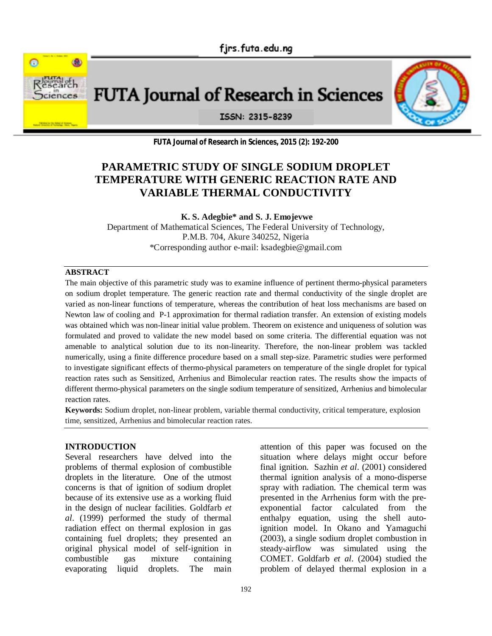

**FUTA Journal of Research in Sciences** 



ISSN: 2315-8239

**FUTA Journal of Research in Sciences, 2015 (2): 192-200**

# **PARAMETRIC STUDY OF SINGLE SODIUM DROPLET TEMPERATURE WITH GENERIC REACTION RATE AND VARIABLE THERMAL CONDUCTIVITY**

**K. S. Adegbie\* and S. J. Emojevwe**

Department of Mathematical Sciences, The Federal University of Technology, P.M.B. 704, Akure 340252, Nigeria \*Corresponding author e-mail: ksadegbie@gmail.com

# **ABSTRACT**

The main objective of this parametric study was to examine influence of pertinent thermo-physical parameters on sodium droplet temperature. The generic reaction rate and thermal conductivity of the single droplet are varied as non-linear functions of temperature, whereas the contribution of heat loss mechanisms are based on Newton law of cooling and P-1 approximation for thermal radiation transfer. An extension of existing models was obtained which was non-linear initial value problem. Theorem on existence and uniqueness of solution was formulated and proved to validate the new model based on some criteria. The differential equation was not amenable to analytical solution due to its non-linearity. Therefore, the non-linear problem was tackled numerically, using a finite difference procedure based on a small step-size. Parametric studies were performed to investigate significant effects of thermo-physical parameters on temperature of the single droplet for typical reaction rates such as Sensitized, Arrhenius and Bimolecular reaction rates. The results show the impacts of different thermo-physical parameters on the single sodium temperature of sensitized, Arrhenius and bimolecular reaction rates.

**Keywords:** Sodium droplet, non-linear problem, variable thermal conductivity, critical temperature, explosion time, sensitized, Arrhenius and bimolecular reaction rates.

### **INTRODUCTION**

Several researchers have delved into the problems of thermal explosion of combustible droplets in the literature. One of the utmost concerns is that of ignition of sodium droplet because of its extensive use as a working fluid in the design of nuclear facilities. Goldfarb *et al*. (1999) performed the study of thermal radiation effect on thermal explosion in gas containing fuel droplets; they presented an original physical model of self-ignition in combustible gas mixture containing evaporating liquid droplets. The main

attention of this paper was focused on the situation where delays might occur before final ignition. Sazhin *et al*. (2001) considered thermal ignition analysis of a mono-disperse spray with radiation. The chemical term was presented in the Arrhenius form with the preexponential factor calculated from the enthalpy equation, using the shell autoignition model. In Okano and Yamaguchi (2003), a single sodium droplet combustion in steady-airflow was simulated using the COMET. Goldfarb *et al*. (2004) studied the problem of delayed thermal explosion in a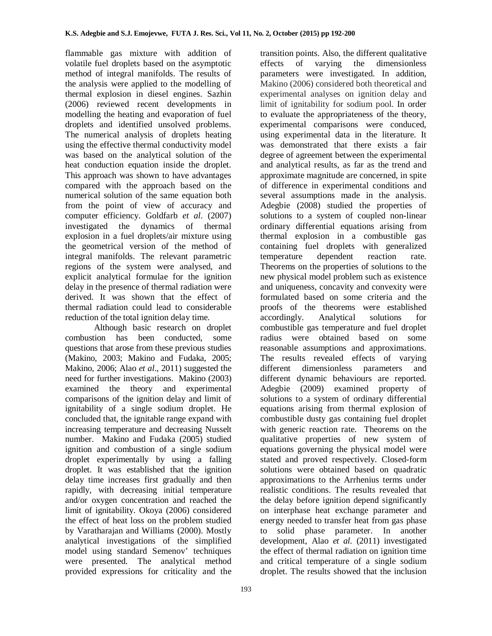flammable gas mixture with addition of volatile fuel droplets based on the asymptotic method of integral manifolds. The results of the analysis were applied to the modelling of thermal explosion in diesel engines. Sazhin (2006) reviewed recent developments in modelling the heating and evaporation of fuel droplets and identified unsolved problems. The numerical analysis of droplets heating using the effective thermal conductivity model was based on the analytical solution of the heat conduction equation inside the droplet. This approach was shown to have advantages compared with the approach based on the numerical solution of the same equation both from the point of view of accuracy and computer efficiency. Goldfarb *et al*. (2007) investigated the dynamics of thermal explosion in a fuel droplets/air mixture using the geometrical version of the method of integral manifolds. The relevant parametric regions of the system were analysed, and explicit analytical formulae for the ignition delay in the presence of thermal radiation were derived. It was shown that the effect of thermal radiation could lead to considerable reduction of the total ignition delay time.

Although basic research on droplet combustion has been conducted, some questions that arose from these previous studies (Makino, 2003; Makino and Fudaka, 2005; Makino, 2006; Alao *et al*., 2011) suggested the need for further investigations. Makino (2003) examined the theory and experimental comparisons of the ignition delay and limit of ignitability of a single sodium droplet. He concluded that, the ignitable range expand with increasing temperature and decreasing Nusselt number. Makino and Fudaka (2005) studied ignition and combustion of a single sodium droplet experimentally by using a falling droplet. It was established that the ignition delay time increases first gradually and then rapidly, with decreasing initial temperature and/or oxygen concentration and reached the limit of ignitability. Okoya (2006) considered the effect of heat loss on the problem studied by Varatharajan and Williams (2000). Mostly analytical investigations of the simplified model using standard Semenov' techniques were presented. The analytical method provided expressions for criticality and the

parameters were investigated. In addition, Makino (2006) considered both theoretical and experimental analyses on ignition delay and limit of ignitability for sodium pool. In order to evaluate the appropriateness of the theory, experimental comparisons were conduced, using experimental data in the literature. It was demonstrated that there exists a fair degree of agreement between the experimental and analytical results, as far as the trend and approximate magnitude are concerned, in spite of difference in experimental conditions and several assumptions made in the analysis. Adegbie (2008) studied the properties of solutions to a system of coupled non-linear ordinary differential equations arising from thermal explosion in a combustible gas containing fuel droplets with generalized temperature dependent reaction rate. Theorems on the properties of solutions to the new physical model problem such as existence and uniqueness, concavity and convexity were formulated based on some criteria and the proofs of the theorems were established accordingly. Analytical solutions for combustible gas temperature and fuel droplet radius were obtained based on some reasonable assumptions and approximations. The results revealed effects of varying different dimensionless parameters and different dynamic behaviours are reported. Adegbie (2009) examined property of solutions to a system of ordinary differential equations arising from thermal explosion of combustible dusty gas containing fuel droplet with generic reaction rate. Theorems on the qualitative properties of new system of equations governing the physical model were stated and proved respectively. Closed-form solutions were obtained based on quadratic approximations to the Arrhenius terms under realistic conditions. The results revealed that the delay before ignition depend significantly on interphase heat exchange parameter and energy needed to transfer heat from gas phase to solid phase parameter. In another development, Alao *et al*. (2011) investigated the effect of thermal radiation on ignition time and critical temperature of a single sodium droplet. The results showed that the inclusion

transition points. Also, the different qualitative effects of varying the dimensionless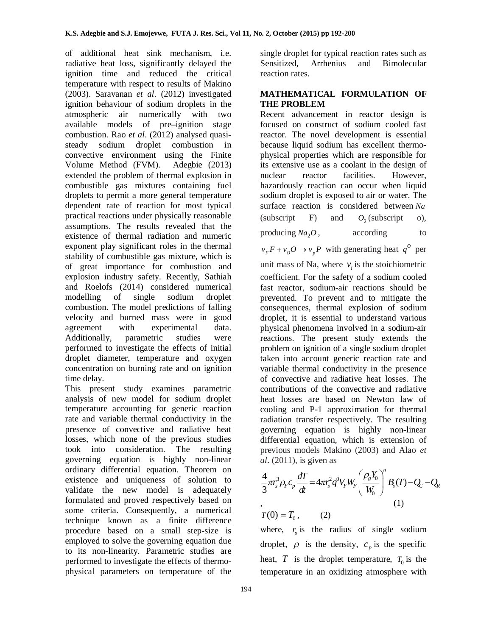of additional heat sink mechanism, i.e. radiative heat loss, significantly delayed the ignition time and reduced the critical temperature with respect to results of Makino (2003). Saravanan *et al*. (2012) investigated ignition behaviour of sodium droplets in the atmospheric air numerically with two available models of pre–ignition stage combustion. Rao *et al*. (2012) analysed quasisteady sodium droplet combustion in convective environment using the Finite Volume Method (FVM). Adegbie (2013) extended the problem of thermal explosion in combustible gas mixtures containing fuel droplets to permit a more general temperature dependent rate of reaction for most typical practical reactions under physically reasonable assumptions. The results revealed that the existence of thermal radiation and numeric exponent play significant roles in the thermal stability of combustible gas mixture, which is of great importance for combustion and explosion industry safety. Recently, Sathiah and Roelofs (2014) considered numerical modelling of single sodium droplet combustion. The model predictions of falling velocity and burned mass were in good agreement with experimental data. Additionally, parametric studies were performed to investigate the effects of initial droplet diameter, temperature and oxygen concentration on burning rate and on ignition time delay.

This present study examines parametric analysis of new model for sodium droplet temperature accounting for generic reaction rate and variable thermal conductivity in the presence of convective and radiative heat losses, which none of the previous studies took into consideration. The resulting governing equation is highly non-linear ordinary differential equation. Theorem on existence and uniqueness of solution to validate the new model is adequately formulated and proved respectively based on some criteria. Consequently, a numerical technique known as a finite difference procedure based on a small step-size is employed to solve the governing equation due to its non-linearity. Parametric studies are performed to investigate the effects of thermophysical parameters on temperature of the

single droplet for typical reaction rates such as Sensitized, Arrhenius and Bimolecular reaction rates.

# **MATHEMATICAL FORMULATION OF THE PROBLEM**

Recent advancement in reactor design is focused on construct of sodium cooled fast reactor. The novel development is essential because liquid sodium has excellent thermophysical properties which are responsible for its extensive use as a coolant in the design of nuclear reactor facilities. However, hazardously reaction can occur when liquid sodium droplet is exposed to air or water. The surface reaction is considered between *Na* (subscript F) and  $O_2$  (subscript o), producing  $Na<sub>2</sub>O$ , , according to

 $v_F F + v_o O \rightarrow v_p P$  with generating heat  $q^O$  per

unit mass of Na, where  $v_i$  is the stoichiometric coefficient. For the safety of a sodium cooled fast reactor, sodium-air reactions should be prevented. To prevent and to mitigate the consequences, thermal explosion of sodium droplet, it is essential to understand various physical phenomena involved in a sodium-air reactions. The present study extends the problem on ignition of a single sodium droplet taken into account generic reaction rate and variable thermal conductivity in the presence of convective and radiative heat losses. The contributions of the convective and radiative heat losses are based on Newton law of cooling and P-1 approximation for thermal radiation transfer respectively. The resulting governing equation is highly non-linear differential equation, which is extension of previous models Makino (2003) and Alao *et al*. (2011), is given as

$$
\frac{4}{3}\pi r_s^3 \rho_F c_p \frac{dT}{dt} = 4\pi r_s^2 q^0 V_F W_F \left(\frac{\rho_s Y_0}{W_0}\right)^n B_s(T) - Q_C - Q_R
$$
\n
$$
T(0) = T_0, \qquad (2)
$$
\n(1)

where,  $r<sub>s</sub>$  is the radius of single sodium droplet,  $\rho$  is the density,  $c_p$  is the specific heat,  $T$  is the droplet temperature,  $T_0$  is the temperature in an oxidizing atmosphere with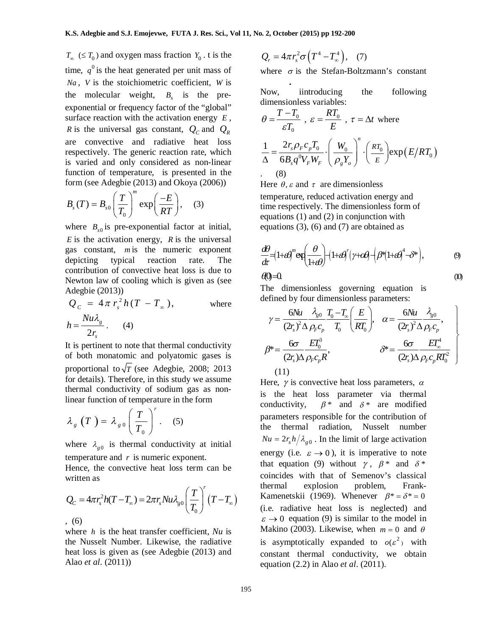$T_{\infty}$  ( $\leq T_0$ ) and oxygen mass fraction  $Y_0$ . t is the time,  $q^0$  is the heat generated per unit mass of *Na* , *V* is the stoichiometric coefficient, *W* is the molecular weight,  $B_s$  is the preexponential or frequency factor of the "global" surface reaction with the activation energy *E* , *R* is the universal gas constant,  $Q_C$  and  $Q_R$ are convective and radiative heat loss respectively. The generic reaction rate, which is varied and only considered as non-linear function of temperature, is presented in the form (see Adegbie (2013) and Okoya (2006))

$$
B_s(T) = B_{s0} \left(\frac{T}{T_0}\right)^m \exp\left(\frac{-E}{RT}\right), \quad (3)
$$

where  $B_{s0}$  is pre-exponential factor at initial, *E* is the activation energy, *R* is the universal gas constant, *m* is the numeric exponent depicting typical reaction rate. The contribution of convective heat loss is due to Newton law of cooling which is given as (see Adegbie (2013))

$$
Q_C = 4\pi r_s^2 h(T - T_\infty),
$$
 where  

$$
h = \frac{Nu\lambda_s}{2r_s}.
$$
 (4)

It is pertinent to note that thermal conductivity of both monatomic and polyatomic gases is proportional to  $\sqrt{T}$  (see Adegbie, 2008; 2013) for details). Therefore, in this study we assume thermal conductivity of sodium gas as nonlinear function of temperature in the form

$$
\lambda_g(T) = \lambda_{g0} \left(\frac{T}{T_0}\right)^r. \quad (5)
$$

where  $\lambda_{g0}$  is thermal conductivity at initial temperature and *r* is numeric exponent.

Hence, the convective heat loss term can be written as

$$
Q_{C} = 4\pi r_{s}^{2}h(T - T_{\infty}) = 2\pi r_{s}Nu\lambda_{g0}\left(\frac{T}{T_{0}}\right)^{r}\left(T - T_{\infty}\right)
$$
  
, (6)

where *h* is the heat transfer coefficient, *Nu* is the Nusselt Number. Likewise, the radiative heat loss is given as (see Adegbie (2013) and Alao *et al*. (2011))

$$
Q_r = 4\pi r_s^2 \sigma \left( T^4 - T_\infty^4 \right), \quad (7)
$$

where  $\sigma$  is the Stefan-Boltzmann's constant

Now,   
introducing the following  
dimensionless variables:  

$$
\theta = \frac{T - T_0}{\varepsilon T_0}, \ \varepsilon = \frac{RT_0}{E}, \ \tau = \Delta t \text{ where}
$$

$$
\frac{1}{\Delta} = \frac{2r_s \rho_F c_p T_0}{6B_s q^0 V_F W_F} \cdot \left(\frac{W_0}{\rho_s Y_o}\right)^n \cdot \left(\frac{RT_0}{E}\right) \exp(E/RT_0)
$$

$$
\approx 8
$$

Here  $\theta$ ,  $\varepsilon$  and  $\tau$  are dimensionless temperature, reduced activation energy and time respectively. The dimensionless form of equations (1) and (2) in conjunction with equations (3), (6) and (7) are obtained as

$$
\frac{d\theta}{dt} = (1 + \theta)^m \exp\left(\frac{\theta}{1 + \theta}\right) + (1 + \theta)^r (\gamma + \theta) + (\theta^s (1 + \theta)^4 - \delta^s),
$$
\n
$$
\theta = 0
$$
\n
$$
(0)
$$

The dimensionless governing equation is defined by four dimensionless parameters:

$$
\gamma = \frac{6Nu}{(2r_s)^2 \Delta \rho_F c_p} \frac{\lambda_{g0}}{T_0 - T_\infty} \left(\frac{E}{RT_0}\right), \quad \alpha = \frac{6Nu}{(2r_s)^2 \Delta \rho_F c_p},
$$
\n
$$
\beta^* = \frac{6\sigma}{(2r_s)\Delta \rho_F c_p R}, \qquad \beta^* = \frac{6\sigma}{(2r_s)\Delta \rho_F c_p RT_0^2}
$$
\n(11)

Here,  $\gamma$  is convective heat loss parameters,  $\alpha$ is the heat loss parameter via thermal conductivity,  $\beta^*$  and  $\delta^*$  are modified parameters responsible for the contribution of the thermal radiation, Nusselt number  $Nu = 2r_s h / \lambda_{g0}$ . In the limit of large activation energy (i.e.  $\varepsilon \to 0$ ), it is imperative to note that equation (9) without  $\gamma$ ,  $\beta^*$  and  $\delta^*$ coincides with that of Semenov's classical thermal explosion problem, Frank-Kamenetskii (1969). Whenever  $\beta^* = \delta^* = 0$ (i.e. radiative heat loss is neglected) and  $\varepsilon \to 0$  equation (9) is similar to the model in Makino (2003). Likewise, when  $m = 0$  and  $\theta$ is asymptotically expanded to  $o(\varepsilon^2)$  with constant thermal conductivity, we obtain equation (2.2) in Alao *et al*. (2011).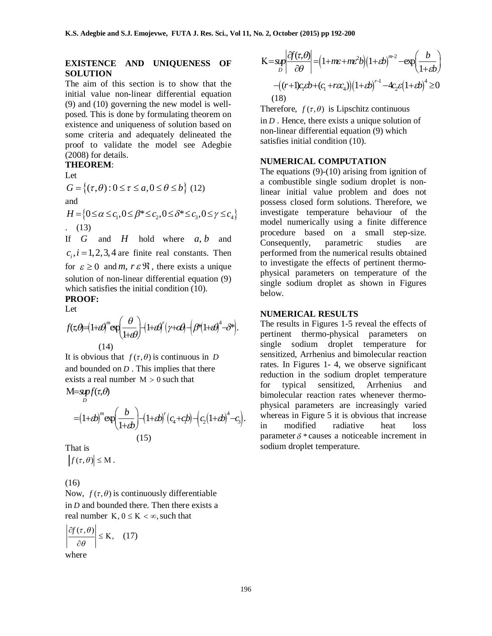# **EXISTENCE AND UNIQUENESS OF SOLUTION**

The aim of this section is to show that the initial value non-linear differential equation (9) and (10) governing the new model is wellposed. This is done by formulating theorem on existence and uniqueness of solution based on some criteria and adequately delineated the proof to validate the model see Adegbie (2008) for details.

# **THEOREM**:

Let

$$
G = \{ (\tau, \theta) : 0 \le \tau \le a, 0 \le \theta \le b \} \quad (12)
$$
  
and  

$$
H = \{ 0 \le \alpha \le c_1, 0 \le \beta^* \le c_2, 0 \le \delta^* \le c_3, 0 \le \gamma \le c_4 \}
$$
  
. (13)

If *G* and *H* hold where *a b*, and  $c_i$ ,  $i = 1,2,3,4$  are finite real constants. Then for  $\varepsilon \geq 0$  and *m*,  $r \varepsilon \Re$ , there exists a unique solution of non-linear differential equation (9) which satisfies the initial condition (10).

#### **PROOF:** Let

$$
f(\tau,\theta)=(1+\theta)^{m}\exp\left(\frac{\theta}{1+\theta}\right)+(1+\theta)^{r}(\gamma+\theta)^{r}(\theta+\theta)^{4}-\theta^{*}.
$$
\n(14)

It is obvious that  $f(\tau, \theta)$  is continuous in *D* and bounded on *D* . This implies that there exists a real number  $M > 0$  such that

 $M = s\nu f(\tau, \theta)$ *D*

$$
=(1+\epsilon b)^{m} \exp\left(\frac{b}{1+\epsilon b}\right) - (1+\epsilon b)^{r} (c_{4}+c_{1}b) - (c_{2}(1+\epsilon b)^{4}-c_{3}).
$$
\n(15)

That is

 $|f(\tau,\theta)| \leq M$ .

(16)

Now,  $f(\tau, \theta)$  is continuously differentiable in *D* and bounded there. Then there exists a real number  $K, 0 \le K < \infty$ , such that

$$
\left|\frac{\partial f(\tau,\theta)}{\partial \theta}\right| \leq K, \quad (17)
$$

where

$$
K = \sup_{D} \left| \frac{\partial f(\tau, \theta)}{\partial \theta} \right| = \left( 1 + m\varepsilon + m\varepsilon^{2}b \right) \left( 1 + \varepsilon b \right)^{m-2} - \exp\left( \frac{b}{1 + \varepsilon b} \right)
$$

$$
- \left( (r+1)c_{1}\varepsilon b + (c_{1} + r\varepsilon c_{4}) \right) \left( 1 + \varepsilon b \right)^{n-1} - 4c_{2}\varepsilon \left( 1 + \varepsilon b \right)^{4} \ge 0
$$

$$
(18)
$$

Therefore,  $f(\tau, \theta)$  is Lipschitz continuous in *D* . Hence, there exists a unique solution of non-linear differential equation (9) which satisfies initial condition (10).

### **NUMERICAL COMPUTATION**

The equations (9)-(10) arising from ignition of a combustible single sodium droplet is nonlinear initial value problem and does not possess closed form solutions. Therefore, we investigate temperature behaviour of the model numerically using a finite difference procedure based on a small step-size. Consequently, parametric studies are performed from the numerical results obtained to investigate the effects of pertinent thermophysical parameters on temperature of the single sodium droplet as shown in Figures below.

# **NUMERICAL RESULTS**

The results in Figures 1-5 reveal the effects of pertinent thermo-physical parameters on single sodium droplet temperature for sensitized, Arrhenius and bimolecular reaction rates. In Figures 1- 4, we observe significant reduction in the sodium droplet temperature for typical sensitized, Arrhenius and bimolecular reaction rates whenever thermophysical parameters are increasingly varied whereas in Figure 5 it is obvious that increase in modified radiative heat loss parameter  $\delta$  \* causes a noticeable increment in sodium droplet temperature.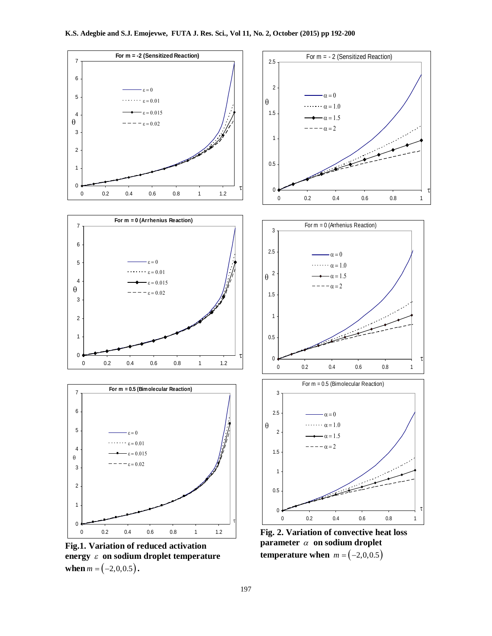

**Fig.1. Variation of reduced activation**  energy  $\varepsilon$  on sodium droplet temperature **when**  $m = (-2, 0, 0.5)$ .



t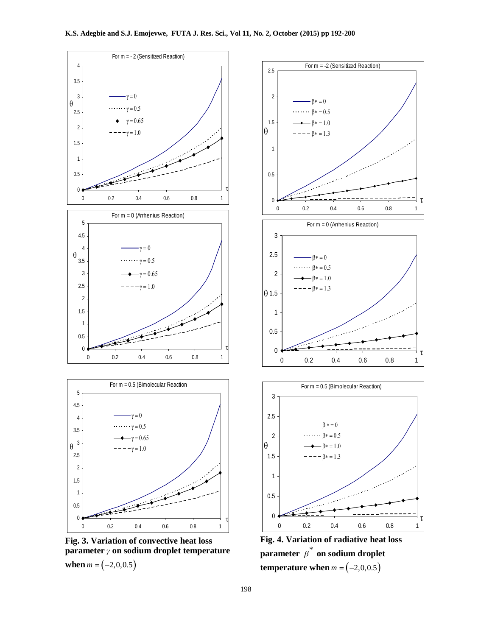

**Fig. 3. Variation of convective heat loss parameter**  $\gamma$  on sodium droplet temperature **when**  $m = (-2, 0, 0.5)$ 



**Fig. 4. Variation of radiative heat loss**  parameter  $\overline{\beta}^*$  on sodium droplet **temperature when**  $m = (-2,0,0.5)$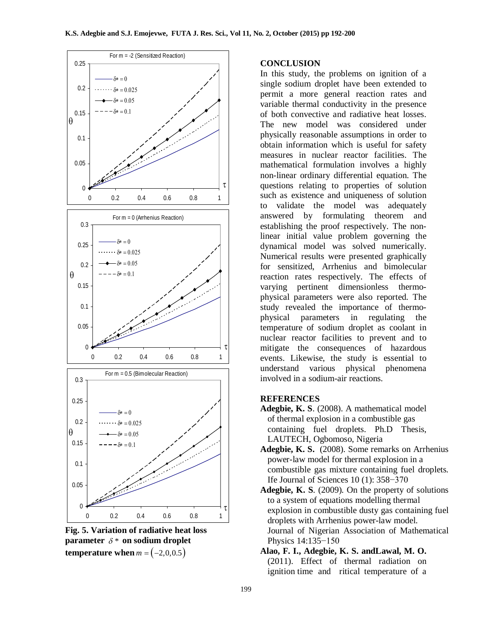



# **CONCLUSION**

In this study, the problems on ignition of a single sodium droplet have been extended to permit a more general reaction rates and variable thermal conductivity in the presence of both convective and radiative heat losses. The new model was considered under physically reasonable assumptions in order to obtain information which is useful for safety measures in nuclear reactor facilities. The mathematical formulation involves a highly non-linear ordinary differential equation. The questions relating to properties of solution such as existence and uniqueness of solution to validate the model was adequately answered by formulating theorem and establishing the proof respectively. The nonlinear initial value problem governing the dynamical model was solved numerically. Numerical results were presented graphically for sensitized, Arrhenius and bimolecular reaction rates respectively. The effects of varying pertinent dimensionless thermophysical parameters were also reported. The study revealed the importance of thermophysical parameters in regulating the temperature of sodium droplet as coolant in nuclear reactor facilities to prevent and to mitigate the consequences of hazardous events. Likewise, the study is essential to understand various physical phenomena involved in a sodium-air reactions.

# **REFERENCES**

- **Adegbie, K. S**. (2008). A mathematical model of thermal explosion in a combustible gas containing fuel droplets. Ph.D Thesis, LAUTECH, Ogbomoso, Nigeria
- **Adegbie, K. S.** (2008). Some remarks on Arrhenius power-law model for thermal explosion in a combustible gas mixture containing fuel droplets*.*  Ife Journal of Sciences 10 (1): 358−370
- **Adegbie, K. S**. (2009). On the property of solutions to a system of equations modelling thermal explosion in combustible dusty gas containing fuel droplets with Arrhenius power-law model. Journal of Nigerian Association of Mathematical Physics 14:135−150
- **Alao, F. I., Adegbie, K. S. andLawal, M. O.** (2011). Effect of thermal radiation on ignition time and ritical temperature of a